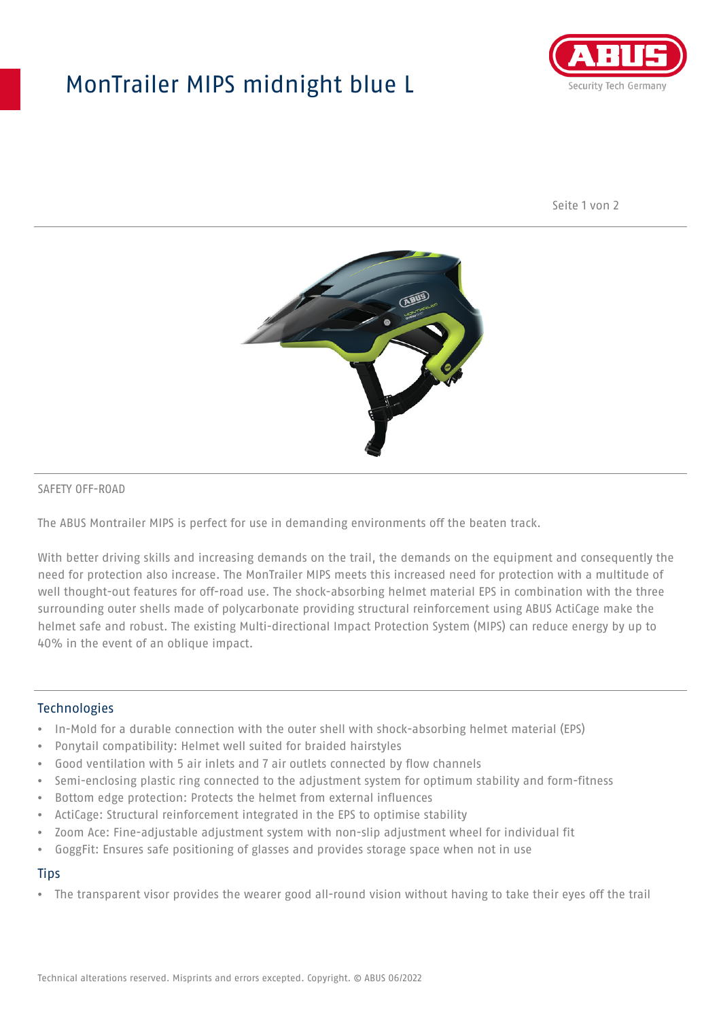## MonTrailer MIPS midnight blue L



Seite 1 von 2



#### SAFETY OFF-ROAD

The ABUS Montrailer MIPS is perfect for use in demanding environments off the beaten track.

With better driving skills and increasing demands on the trail, the demands on the equipment and consequently the need for protection also increase. The MonTrailer MIPS meets this increased need for protection with a multitude of well thought-out features for off-road use. The shock-absorbing helmet material EPS in combination with the three surrounding outer shells made of polycarbonate providing structural reinforcement using ABUS ActiCage make the helmet safe and robust. The existing Multi-directional Impact Protection System (MIPS) can reduce energy by up to 40% in the event of an oblique impact.

#### **Technologies**

- In-Mold for a durable connection with the outer shell with shock-absorbing helmet material (EPS)
- Ponytail compatibility: Helmet well suited for braided hairstyles
- Good ventilation with 5 air inlets and 7 air outlets connected by flow channels
- Semi-enclosing plastic ring connected to the adjustment system for optimum stability and form-fitness
- Bottom edge protection: Protects the helmet from external influences
- ActiCage: Structural reinforcement integrated in the EPS to optimise stability
- Zoom Ace: Fine-adjustable adjustment system with non-slip adjustment wheel for individual fit
- GoggFit: Ensures safe positioning of glasses and provides storage space when not in use

#### **Tips**

• The transparent visor provides the wearer good all-round vision without having to take their eyes off the trail